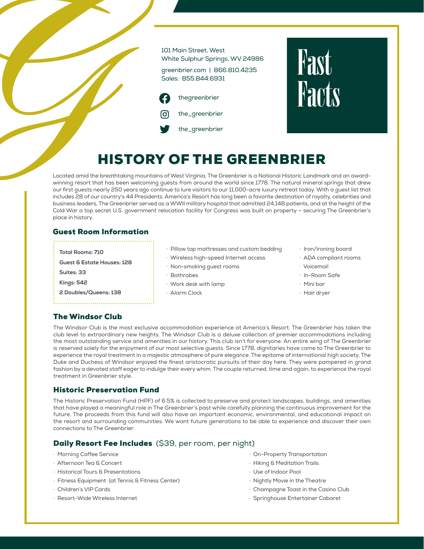

# **Fast Facts**

# HISTORY OF THE GREENBRIER

Located amid the breathtaking mountains of West Virginia, The Greenbrier is a National Historic Landmark and an awardwinning resort that has been welcoming guests from around the world since 1778. The natural mineral springs that drew our first guests nearly 250 years ago continue to lure visitors to our 11,000-acre luxury retreat today. With a guest list that includes 28 of our country's 44 Presidents, America's Resort has long been a favorite destination of royalty, celebrities and business leaders. The Greenbrier served as a WWII military hospital that admitted 24,148 patients, and at the height of the Cold War a top secret U.S. government relocation facility for Congress was built on property – securing The Greenbrier's place in history.

#### Guest Room Information

**Total Rooms: 710**

**Guest & Estate Houses: 128**

**Suites: 33**

**Kings: 542**

**2 Doubles/Queens: 138**

- · Pillow top mattresses and custom bedding
- · Wireless high-speed Internet access
- · Non-smoking guest rooms
- · Bathrobes
- · Work desk with lamp
- · Alarm Clock
- · Iron/ironing board
- · ADA compliant rooms
- · Voicemail
- · In-Room Safe
- · Mini bar
- · Hair dryer

# The Windsor Club

The Windsor Club is the most exclusive accommodation experience at America's Resort. The Greenbrier has taken the club level to extraordinary new heights. The Windsor Club is a deluxe collection of premier accommodations including the most outstanding service and amenities in our history. This club isn't for everyone. An entire wing of The Greenbrier is reserved solely for the enjoyment of our most selective guests. Since 1778, dignitaries have come to The Greenbrier to experience the royal treatment in a majestic atmosphere of pure elegance. The epitome of international high society, The Duke and Duchess of Windsor enjoyed the finest aristocratic pursuits of their day here. They were pampered in grand fashion by a devoted staff eager to indulge their every whim. The couple returned, time and again, to experience the royal treatment in Greenbrier style.

# Historic Preservation Fund

The Historic Preservation Fund (HPF) of 6.5% is collected to preserve and protect landscapes, buildings, and amenities that have played a meaningful role in The Greenbrier's past while carefully planning the continuous improvement for the future. The proceeds from this fund will also have an important economic, environmental, and educational impact on the resort and surrounding communities. We want future generations to be able to experience and discover their own connections to The Greenbrier.

# Daily Resort Fee Includes (\$39, per room, per night)

- · Morning Coffee Service
- · Afternoon Tea & Concert
- · Historical Tours & Presentations
- · Fitness Equipment (at Tennis & Fitness Center)
- · Children's VIP Cards
- · Resort-Wide Wireless Internet
- · On-Property Transportation
- · Hiking & Meditation Trails
- · Use of Indoor Pool
- · Nightly Movie in the Theatre
- · Champagne Toast in the Casino Club
- · Springhouse Entertainer Cabaret